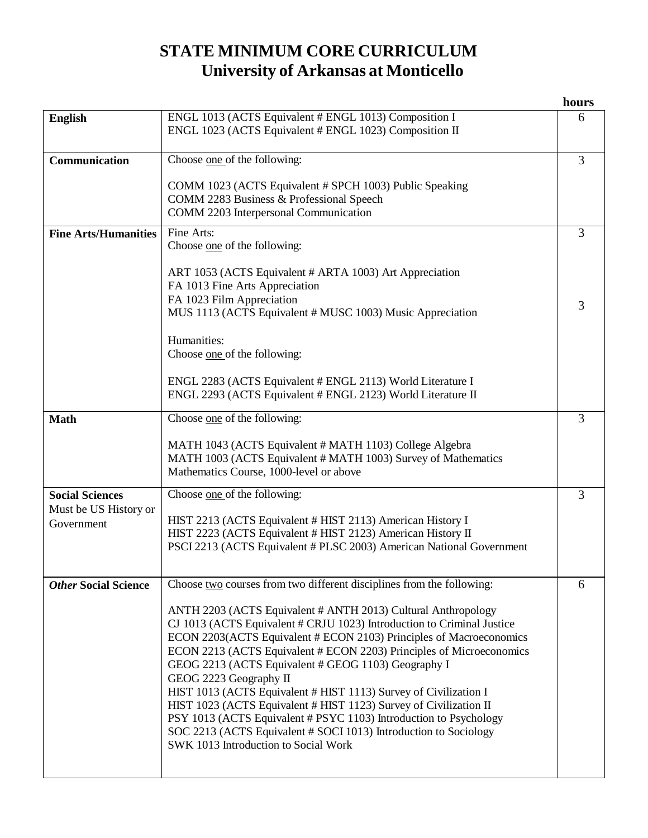## **STATE MINIMUM CORE CURRICULUM University of Arkansas at Monticello**

|                                     |                                                                                                                                                                                                                                                                                                                                                                                                                                                                                                                                                                                                                                                                                                   | hours          |
|-------------------------------------|---------------------------------------------------------------------------------------------------------------------------------------------------------------------------------------------------------------------------------------------------------------------------------------------------------------------------------------------------------------------------------------------------------------------------------------------------------------------------------------------------------------------------------------------------------------------------------------------------------------------------------------------------------------------------------------------------|----------------|
| <b>English</b>                      | ENGL 1013 (ACTS Equivalent # ENGL 1013) Composition I<br>ENGL 1023 (ACTS Equivalent # ENGL 1023) Composition II                                                                                                                                                                                                                                                                                                                                                                                                                                                                                                                                                                                   | 6              |
| Communication                       | Choose one of the following:                                                                                                                                                                                                                                                                                                                                                                                                                                                                                                                                                                                                                                                                      | $\overline{3}$ |
|                                     | COMM 1023 (ACTS Equivalent # SPCH 1003) Public Speaking<br>COMM 2283 Business & Professional Speech<br>COMM 2203 Interpersonal Communication                                                                                                                                                                                                                                                                                                                                                                                                                                                                                                                                                      |                |
| <b>Fine Arts/Humanities</b>         | Fine Arts:                                                                                                                                                                                                                                                                                                                                                                                                                                                                                                                                                                                                                                                                                        | 3              |
|                                     | Choose one of the following:                                                                                                                                                                                                                                                                                                                                                                                                                                                                                                                                                                                                                                                                      |                |
|                                     | ART 1053 (ACTS Equivalent # ARTA 1003) Art Appreciation<br>FA 1013 Fine Arts Appreciation<br>FA 1023 Film Appreciation<br>MUS 1113 (ACTS Equivalent # MUSC 1003) Music Appreciation                                                                                                                                                                                                                                                                                                                                                                                                                                                                                                               | 3              |
|                                     | Humanities:<br>Choose one of the following:                                                                                                                                                                                                                                                                                                                                                                                                                                                                                                                                                                                                                                                       |                |
|                                     | ENGL 2283 (ACTS Equivalent # ENGL 2113) World Literature I<br>ENGL 2293 (ACTS Equivalent # ENGL 2123) World Literature II                                                                                                                                                                                                                                                                                                                                                                                                                                                                                                                                                                         |                |
| <b>Math</b>                         | Choose one of the following:                                                                                                                                                                                                                                                                                                                                                                                                                                                                                                                                                                                                                                                                      | 3              |
|                                     | MATH 1043 (ACTS Equivalent # MATH 1103) College Algebra<br>MATH 1003 (ACTS Equivalent # MATH 1003) Survey of Mathematics<br>Mathematics Course, 1000-level or above                                                                                                                                                                                                                                                                                                                                                                                                                                                                                                                               |                |
| <b>Social Sciences</b>              | Choose one of the following:                                                                                                                                                                                                                                                                                                                                                                                                                                                                                                                                                                                                                                                                      | 3              |
| Must be US History or<br>Government | HIST 2213 (ACTS Equivalent # HIST 2113) American History I<br>HIST 2223 (ACTS Equivalent # HIST 2123) American History II<br>PSCI 2213 (ACTS Equivalent # PLSC 2003) American National Government                                                                                                                                                                                                                                                                                                                                                                                                                                                                                                 |                |
| <b>Other Social Science</b>         | Choose two courses from two different disciplines from the following:                                                                                                                                                                                                                                                                                                                                                                                                                                                                                                                                                                                                                             | 6              |
|                                     | ANTH 2203 (ACTS Equivalent # ANTH 2013) Cultural Anthropology<br>CJ 1013 (ACTS Equivalent # CRJU 1023) Introduction to Criminal Justice<br>ECON 2203(ACTS Equivalent # ECON 2103) Principles of Macroeconomics<br>ECON 2213 (ACTS Equivalent # ECON 2203) Principles of Microeconomics<br>GEOG 2213 (ACTS Equivalent # GEOG 1103) Geography I<br>GEOG 2223 Geography II<br>HIST 1013 (ACTS Equivalent # HIST 1113) Survey of Civilization I<br>HIST 1023 (ACTS Equivalent # HIST 1123) Survey of Civilization II<br>PSY 1013 (ACTS Equivalent # PSYC 1103) Introduction to Psychology<br>SOC 2213 (ACTS Equivalent # SOCI 1013) Introduction to Sociology<br>SWK 1013 Introduction to Social Work |                |